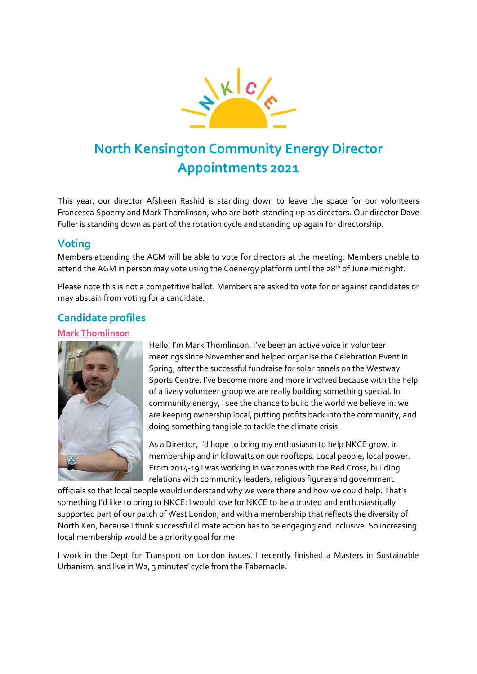

# **North Kensington Community Energy Director Appointments 2021**

This year, our director Afsheen Rashid is standing down to leave the space for our volunteers Francesca Spoerry and Mark Thomlinson, who are both standing up as directors. Our director Dave Fuller is standing down as part of the rotation cycle and standing up again for directorship.

## **Voting**

Members attending the AGM will be able to vote for directors at the meeting. Members unable to attend the AGM in person may vote using the Coenergy platform until the 28<sup>th</sup> of June midnight.

Please note this is not a competitive ballot. Members are asked to vote for or against candidates or may abstain from voting for a candidate.

# **Candidate profiles**

#### **Mark Thomlinson**



Hello! I'm Mark Thomlinson. I've been an active voice in volunteer meetings since November and helped organise the Celebration Event in Spring, after the successful fundraise for solar panels on the Westway Sports Centre. I've become more and more involved because with the help of a lively volunteer group we are really building something special. In community energy, I see the chance to build the world we believe in: we are keeping ownership local, putting profits back into the community, and doing something tangible to tackle the climate crisis.

As a Director, I'd hope to bring my enthusiasm to help NKCE grow, in membership and in kilowatts on our rooftops. Local people, local power. From 2014-19 I was working in war zones with the Red Cross, building relations with community leaders, religious figures and government

officials so that local people would understand why we were there and how we could help. That's something I'd like to bring to NKCE: I would love for NKCE to be a trusted and enthusiastically supported part of our patch of West London, and with a membership that reflects the diversity of North Ken, because I think successful climate action has to be engaging and inclusive. So increasing local membership would be a priority goal for me.

I work in the Dept for Transport on London issues. I recently finished a Masters in Sustainable Urbanism, and live in W2, 3 minutes' cycle from the Tabernacle.